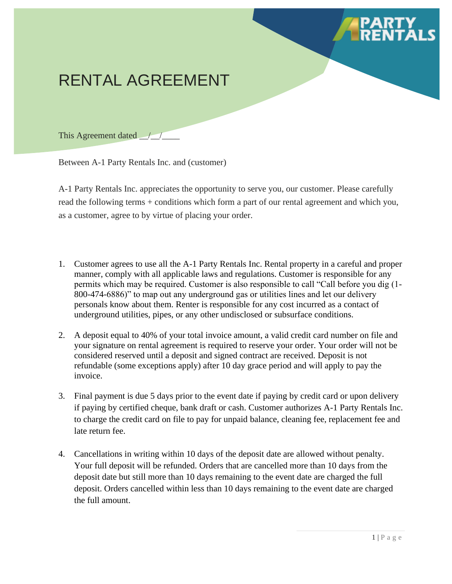## RENTAL AGREEMENT

This Agreement dated <u>/</u>

Between A-1 Party Rentals Inc. and (customer)

A-1 Party Rentals Inc. appreciates the opportunity to serve you, our customer. Please carefully read the following terms + conditions which form a part of our rental agreement and which you, as a customer, agree to by virtue of placing your order.

- 1. Customer agrees to use all the A-1 Party Rentals Inc. Rental property in a careful and proper manner, comply with all applicable laws and regulations. Customer is responsible for any permits which may be required. Customer is also responsible to call "Call before you dig (1- 800-474-6886)" to map out any underground gas or utilities lines and let our delivery personals know about them. Renter is responsible for any cost incurred as a contact of underground utilities, pipes, or any other undisclosed or subsurface conditions.
- 2. A deposit equal to 40% of your total invoice amount, a valid credit card number on file and your signature on rental agreement is required to reserve your order. Your order will not be considered reserved until a deposit and signed contract are received. Deposit is not refundable (some exceptions apply) after 10 day grace period and will apply to pay the invoice.
- 3. Final payment is due 5 days prior to the event date if paying by credit card or upon delivery if paying by certified cheque, bank draft or cash. Customer authorizes A-1 Party Rentals Inc. to charge the credit card on file to pay for unpaid balance, cleaning fee, replacement fee and late return fee.
- 4. Cancellations in writing within 10 days of the deposit date are allowed without penalty. Your full deposit will be refunded. Orders that are cancelled more than 10 days from the deposit date but still more than 10 days remaining to the event date are charged the full deposit. Orders cancelled within less than 10 days remaining to the event date are charged the full amount.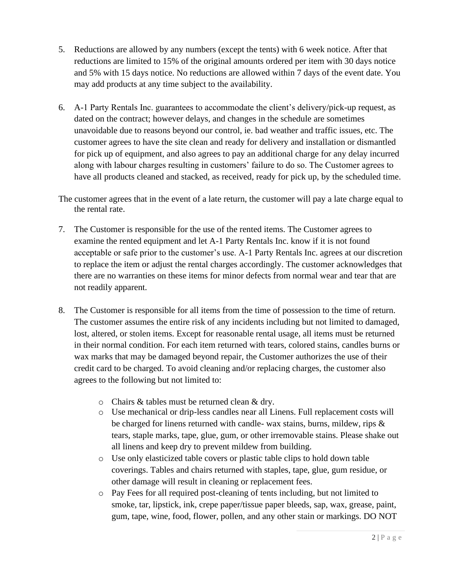- 5. Reductions are allowed by any numbers (except the tents) with 6 week notice. After that reductions are limited to 15% of the original amounts ordered per item with 30 days notice and 5% with 15 days notice. No reductions are allowed within 7 days of the event date. You may add products at any time subject to the availability.
- 6. A-1 Party Rentals Inc. guarantees to accommodate the client's delivery/pick-up request, as dated on the contract; however delays, and changes in the schedule are sometimes unavoidable due to reasons beyond our control, ie. bad weather and traffic issues, etc. The customer agrees to have the site clean and ready for delivery and installation or dismantled for pick up of equipment, and also agrees to pay an additional charge for any delay incurred along with labour charges resulting in customers' failure to do so. The Customer agrees to have all products cleaned and stacked, as received, ready for pick up, by the scheduled time.

The customer agrees that in the event of a late return, the customer will pay a late charge equal to the rental rate.

- 7. The Customer is responsible for the use of the rented items. The Customer agrees to examine the rented equipment and let A-1 Party Rentals Inc. know if it is not found acceptable or safe prior to the customer's use. A-1 Party Rentals Inc. agrees at our discretion to replace the item or adjust the rental charges accordingly. The customer acknowledges that there are no warranties on these items for minor defects from normal wear and tear that are not readily apparent.
- 8. The Customer is responsible for all items from the time of possession to the time of return. The customer assumes the entire risk of any incidents including but not limited to damaged, lost, altered, or stolen items. Except for reasonable rental usage, all items must be returned in their normal condition. For each item returned with tears, colored stains, candles burns or wax marks that may be damaged beyond repair, the Customer authorizes the use of their credit card to be charged. To avoid cleaning and/or replacing charges, the customer also agrees to the following but not limited to:
	- o Chairs & tables must be returned clean & dry.
	- o Use mechanical or drip-less candles near all Linens. Full replacement costs will be charged for linens returned with candle- wax stains, burns, mildew, rips & tears, staple marks, tape, glue, gum, or other irremovable stains. Please shake out all linens and keep dry to prevent mildew from building.
	- o Use only elasticized table covers or plastic table clips to hold down table coverings. Tables and chairs returned with staples, tape, glue, gum residue, or other damage will result in cleaning or replacement fees.
	- o Pay Fees for all required post-cleaning of tents including, but not limited to smoke, tar, lipstick, ink, crepe paper/tissue paper bleeds, sap, wax, grease, paint, gum, tape, wine, food, flower, pollen, and any other stain or markings. DO NOT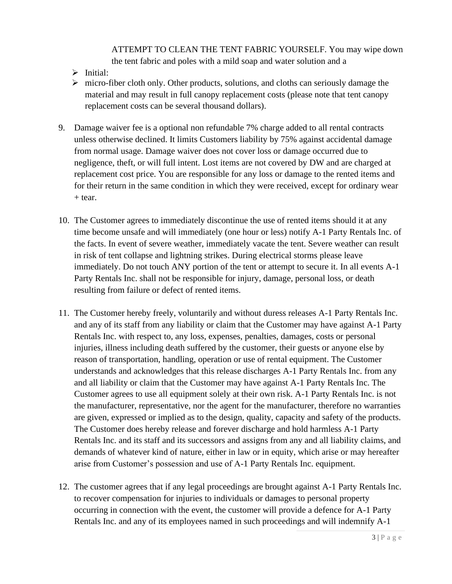ATTEMPT TO CLEAN THE TENT FABRIC YOURSELF. You may wipe down the tent fabric and poles with a mild soap and water solution and a

- ➢ Initial:
- $\triangleright$  micro-fiber cloth only. Other products, solutions, and cloths can seriously damage the material and may result in full canopy replacement costs (please note that tent canopy replacement costs can be several thousand dollars).
- 9. Damage waiver fee is a optional non refundable 7% charge added to all rental contracts unless otherwise declined. It limits Customers liability by 75% against accidental damage from normal usage. Damage waiver does not cover loss or damage occurred due to negligence, theft, or will full intent. Lost items are not covered by DW and are charged at replacement cost price. You are responsible for any loss or damage to the rented items and for their return in the same condition in which they were received, except for ordinary wear + tear.
- 10. The Customer agrees to immediately discontinue the use of rented items should it at any time become unsafe and will immediately (one hour or less) notify A-1 Party Rentals Inc. of the facts. In event of severe weather, immediately vacate the tent. Severe weather can result in risk of tent collapse and lightning strikes. During electrical storms please leave immediately. Do not touch ANY portion of the tent or attempt to secure it. In all events A-1 Party Rentals Inc. shall not be responsible for injury, damage, personal loss, or death resulting from failure or defect of rented items.
- 11. The Customer hereby freely, voluntarily and without duress releases A-1 Party Rentals Inc. and any of its staff from any liability or claim that the Customer may have against A-1 Party Rentals Inc. with respect to, any loss, expenses, penalties, damages, costs or personal injuries, illness including death suffered by the customer, their guests or anyone else by reason of transportation, handling, operation or use of rental equipment. The Customer understands and acknowledges that this release discharges A-1 Party Rentals Inc. from any and all liability or claim that the Customer may have against A-1 Party Rentals Inc. The Customer agrees to use all equipment solely at their own risk. A-1 Party Rentals Inc. is not the manufacturer, representative, nor the agent for the manufacturer, therefore no warranties are given, expressed or implied as to the design, quality, capacity and safety of the products. The Customer does hereby release and forever discharge and hold harmless A-1 Party Rentals Inc. and its staff and its successors and assigns from any and all liability claims, and demands of whatever kind of nature, either in law or in equity, which arise or may hereafter arise from Customer's possession and use of A-1 Party Rentals Inc. equipment.
- 12. The customer agrees that if any legal proceedings are brought against A-1 Party Rentals Inc. to recover compensation for injuries to individuals or damages to personal property occurring in connection with the event, the customer will provide a defence for A-1 Party Rentals Inc. and any of its employees named in such proceedings and will indemnify A-1